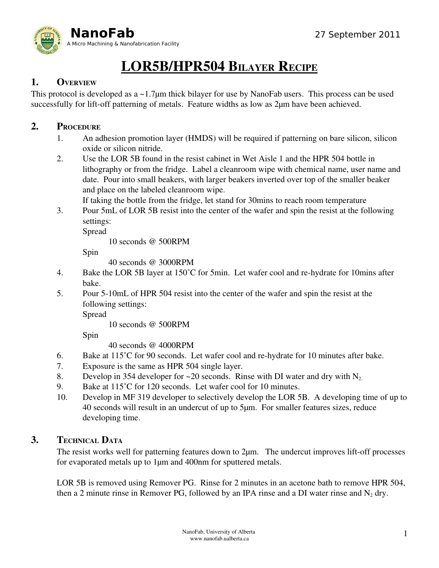

# LOR5B/HPR504 BILAYER RECIPE

## 1. OVERVIEW

This protocol is developed as a ~1.7μm thick bilayer for use by NanoFab users. This process can be used successfully for lift-off patterning of metals. Feature widths as low as  $2\mu$ m have been achieved.

## 2. PROCEDURE

- 1. An adhesion promotion layer (HMDS) will be required if patterning on bare silicon, silicon oxide or silicon nitride.
- 2. Use the LOR 5B found in the resist cabinet in Wet Aisle 1 and the HPR 504 bottle in lithography or from the fridge. Label a cleanroom wipe with chemical name, user name and date. Pour into small beakers, with larger beakers inverted over top of the smaller beaker and place on the labeled cleanroom wipe.

If taking the bottle from the fridge, let stand for 30mins to reach room temperature

3. Pour 5mL of LOR 5B resist into the center of the wafer and spin the resist at the following settings:

Spread

10 seconds @ 500RPM

Spin

40 seconds @ 3000RPM

- 4. Bake the LOR 5B layer at 150°C for 5min. Let wafer cool and re-hydrate for 10mins after bake.
- 5. Pour 510mL of HPR 504 resist into the center of the wafer and spin the resist at the following settings:

Spread

10 seconds @ 500RPM

Spin

40 seconds @ 4000RPM

- 6. Bake at 115°C for 90 seconds. Let wafer cool and re-hydrate for 10 minutes after bake.
- 7. Exposure is the same as HPR 504 single layer.
- 8. Develop in 354 developer for  $\sim$  20 seconds. Rinse with DI water and dry with N<sub>2</sub>.
- 9. Bake at 115°C for 120 seconds. Let wafer cool for 10 minutes.
- 10. Develop in MF 319 developer to selectively develop the LOR 5B. A developing time of up to 40 seconds will result in an undercut of up to 5μm. For smaller features sizes, reduce developing time.

### 3. TECHNICAL DATA

The resist works well for patterning features down to  $2\mu$ m. The undercut improves lift-off processes for evaporated metals up to 1μm and 400nm for sputtered metals.

LOR 5B is removed using Remover PG. Rinse for 2 minutes in an acetone bath to remove HPR 504, then a 2 minute rinse in Remover PG, followed by an IPA rinse and a DI water rinse and  $N_2$  dry.